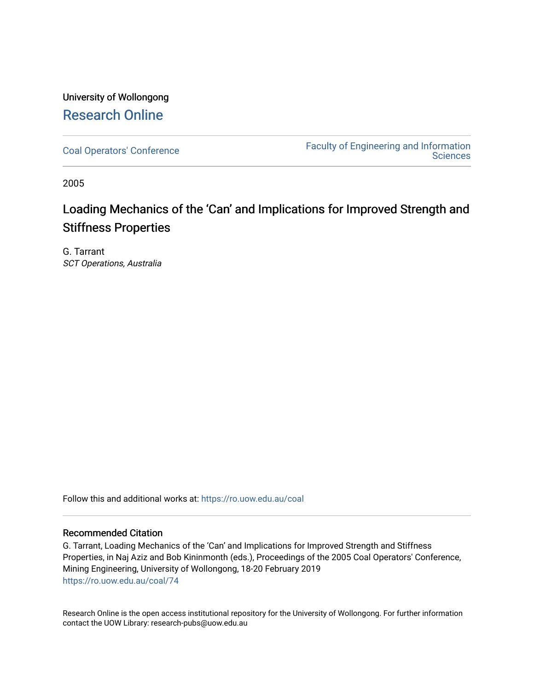## University of Wollongong [Research Online](https://ro.uow.edu.au/)

[Coal Operators' Conference](https://ro.uow.edu.au/coal) [Faculty of Engineering and Information](https://ro.uow.edu.au/eis)  **Sciences** 

2005

# Loading Mechanics of the 'Can' and Implications for Improved Strength and Stiffness Properties

G. Tarrant SCT Operations, Australia

Follow this and additional works at: [https://ro.uow.edu.au/coal](https://ro.uow.edu.au/coal?utm_source=ro.uow.edu.au%2Fcoal%2F74&utm_medium=PDF&utm_campaign=PDFCoverPages) 

## Recommended Citation

G. Tarrant, Loading Mechanics of the 'Can' and Implications for Improved Strength and Stiffness Properties, in Naj Aziz and Bob Kininmonth (eds.), Proceedings of the 2005 Coal Operators' Conference, Mining Engineering, University of Wollongong, 18-20 February 2019 [https://ro.uow.edu.au/coal/74](https://ro.uow.edu.au/coal/74?utm_source=ro.uow.edu.au%2Fcoal%2F74&utm_medium=PDF&utm_campaign=PDFCoverPages) 

Research Online is the open access institutional repository for the University of Wollongong. For further information contact the UOW Library: research-pubs@uow.edu.au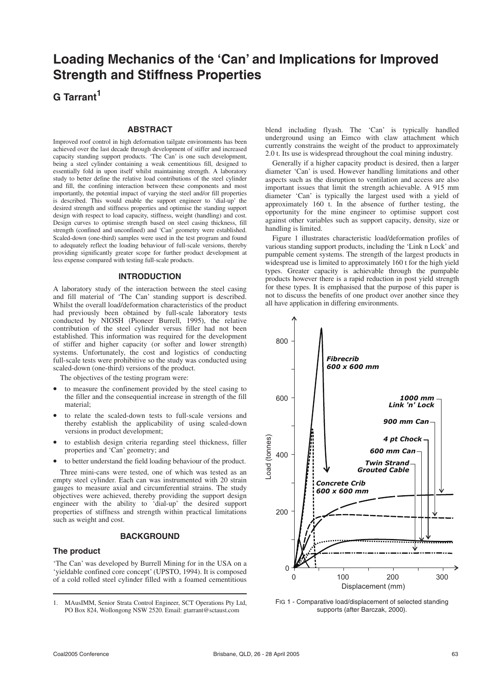## **Loading Mechanics of the 'Can' and Implications for Improved Strength and Stiffness Properties**

**G Tarrant<sup>1</sup>**

## **ABSTRACT**

Improved roof control in high deformation tailgate environments has been achieved over the last decade through development of stiffer and increased capacity standing support products. 'The Can' is one such development, being a steel cylinder containing a weak cementitious fill, designed to essentially fold in upon itself whilst maintaining strength. A laboratory study to better define the relative load contributions of the steel cylinder and fill, the confining interaction between these components and most importantly, the potential impact of varying the steel and/or fill properties is described. This would enable the support engineer to 'dial-up' the desired strength and stiffness properties and optimise the standing support design with respect to load capacity, stiffness, weight (handling) and cost. Design curves to optimise strength based on steel casing thickness, fill strength (confined and unconfined) and 'Can' geometry were established. Scaled-down (one-third) samples were used in the test program and found to adequately reflect the loading behaviour of full-scale versions, thereby providing significantly greater scope for further product development at less expense compared with testing full-scale products.

## **INTRODUCTION**

A laboratory study of the interaction between the steel casing and fill material of 'The Can' standing support is described. Whilst the overall load/deformation characteristics of the product had previously been obtained by full-scale laboratory tests conducted by NIOSH (Pioneer Burrell, 1995), the relative contribution of the steel cylinder versus filler had not been established. This information was required for the development of stiffer and higher capacity (or softer and lower strength) systems. Unfortunately, the cost and logistics of conducting full-scale tests were prohibitive so the study was conducted using scaled-down (one-third) versions of the product.

The objectives of the testing program were:

- to measure the confinement provided by the steel casing to the filler and the consequential increase in strength of the fill material;
- to relate the scaled-down tests to full-scale versions and thereby establish the applicability of using scaled-down versions in product development;
- to establish design criteria regarding steel thickness, filler properties and 'Can' geometry; and
- to better understand the field loading behaviour of the product.

Three mini-cans were tested, one of which was tested as an empty steel cylinder. Each can was instrumented with 20 strain gauges to measure axial and circumferential strains. The study objectives were achieved, thereby providing the support design engineer with the ability to 'dial-up' the desired support properties of stiffness and strength within practical limitations such as weight and cost.

## **BACKGROUND**

## **The product**

'The Can' was developed by Burrell Mining for in the USA on a 'yieldable confined core concept' (UPSTO, 1994). It is composed of a cold rolled steel cylinder filled with a foamed cementitious

blend including flyash. The 'Can' is typically handled underground using an Eimco with claw attachment which currently constrains the weight of the product to approximately 2.0 t. Its use is widespread throughout the coal mining industry.

Generally if a higher capacity product is desired, then a larger diameter 'Can' is used. However handling limitations and other aspects such as the disruption to ventilation and access are also important issues that limit the strength achievable. A 915 mm diameter 'Can' is typically the largest used with a yield of approximately 160 t. In the absence of further testing, the opportunity for the mine engineer to optimise support cost against other variables such as support capacity, density, size or handling is limited.

Figure 1 illustrates characteristic load/deformation profiles of various standing support products, including the 'Link n Lock' and pumpable cement systems. The strength of the largest products in widespread use is limited to approximately 160 t for the high yield types. Greater capacity is achievable through the pumpable products however there is a rapid reduction in post yield strength for these types. It is emphasised that the purpose of this paper is not to discuss the benefits of one product over another since they all have application in differing environments.



FIG 1 - Comparative load/displacement of selected standing supports (after Barczak, 2000).

<sup>1.</sup> MAusIMM, Senior Strata Control Engineer, SCT Operations Pty Ltd, PO Box 824, Wollongong NSW 2520. Email: gtarrant@sctaust.com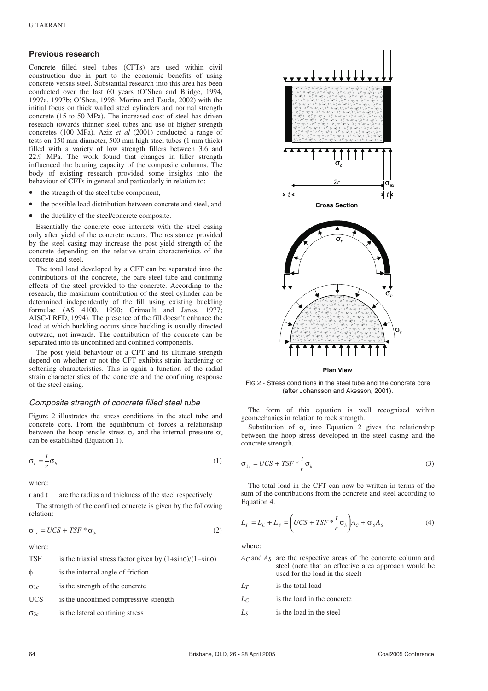#### **Previous research**

Concrete filled steel tubes (CFTs) are used within civil construction due in part to the economic benefits of using concrete versus steel. Substantial research into this area has been conducted over the last 60 years (O'Shea and Bridge, 1994, 1997a, 1997b; O'Shea, 1998; Morino and Tsuda, 2002) with the initial focus on thick walled steel cylinders and normal strength concrete (15 to 50 MPa). The increased cost of steel has driven research towards thinner steel tubes and use of higher strength concretes (100 MPa). Aziz *et al* (2001) conducted a range of tests on 150 mm diameter, 500 mm high steel tubes (1 mm thick) filled with a variety of low strength fillers between 3.6 and 22.9 MPa. The work found that changes in filler strength influenced the bearing capacity of the composite columns. The body of existing research provided some insights into the behaviour of CFTs in general and particularly in relation to:

- the strength of the steel tube component,
- the possible load distribution between concrete and steel, and
- the ductility of the steel/concrete composite.

Essentially the concrete core interacts with the steel casing only after yield of the concrete occurs. The resistance provided by the steel casing may increase the post yield strength of the concrete depending on the relative strain characteristics of the concrete and steel.

The total load developed by a CFT can be separated into the contributions of the concrete, the bare steel tube and confining effects of the steel provided to the concrete. According to the research, the maximum contribution of the steel cylinder can be determined independently of the fill using existing buckling formulae (AS 4100, 1990; Grimault and Janss, 1977; AISC-LRFD, 1994). The presence of the fill doesn't enhance the load at which buckling occurs since buckling is usually directed outward, not inwards. The contribution of the concrete can be separated into its unconfined and confined components.

The post yield behaviour of a CFT and its ultimate strength depend on whether or not the CFT exhibits strain hardening or softening characteristics. This is again a function of the radial strain characteristics of the concrete and the confining response of the steel casing.

#### Composite strength of concrete filled steel tube

Figure 2 illustrates the stress conditions in the steel tube and concrete core. From the equilibrium of forces a relationship between the hoop tensile stress  $\sigma_h$  and the internal pressure  $\sigma_r$ can be established (Equation 1).

$$
\sigma_r = -\frac{t}{r} \sigma_h \tag{1}
$$

where:

r and t are the radius and thickness of the steel respectively

The strength of the confined concrete is given by the following relation:

$$
\sigma_{1c} = UCS + TSF \ast \sigma_{3c} \tag{2}
$$

where:

TSF is the triaxial stress factor given by  $(1+\sin\phi)/(1-\sin\phi)$ φ is the internal angle of friction σ1*c* is the strength of the concrete





**Plan View**

FIG 2 - Stress conditions in the steel tube and the concrete core (after Johansson and Akesson, 2001).

The form of this equation is well recognised within geomechanics in relation to rock strength.

Substitution of  $\sigma_r$  into Equation 2 gives the relationship between the hoop stress developed in the steel casing and the concrete strength.

$$
\sigma_{1c} = UCS + TSF \times \frac{t}{r} \sigma_h \tag{3}
$$

The total load in the CFT can now be written in terms of the sum of the contributions from the concrete and steel according to Equation 4.

$$
L_T = L_C + L_S = \left( UCS + TSF \times \frac{t}{r} \sigma_h \right) A_C + \sigma_S A_S \tag{4}
$$

where:

- *AC* and *AS* are the respective areas of the concrete column and steel (note that an effective area approach would be used for the load in the steel)
- *LT* is the total load
- *LC* is the load in the concrete
- *LS* is the load in the steel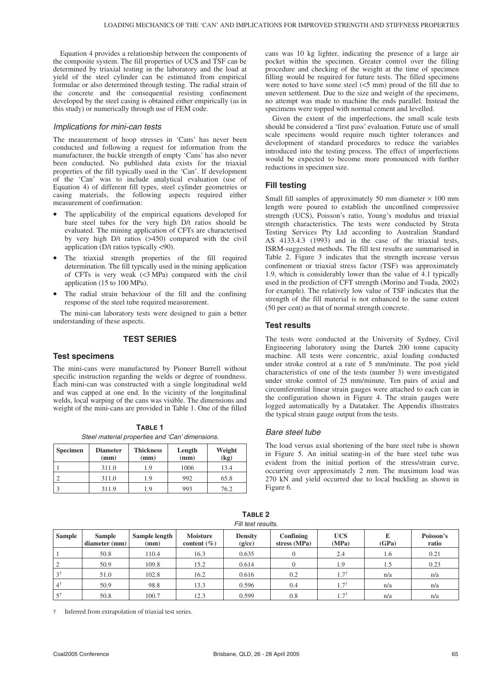Equation 4 provides a relationship between the components of the composite system. The fill properties of UCS and TSF can be determined by triaxial testing in the laboratory and the load at yield of the steel cylinder can be estimated from empirical formulae or also determined through testing. The radial strain of the concrete and the consequential resisting confinement developed by the steel casing is obtained either empirically (as in this study) or numerically through use of FEM code.

#### Implications for mini-can tests

The measurement of hoop stresses in 'Cans' has never been conducted and following a request for information from the manufacturer, the buckle strength of empty 'Cans' has also never been conducted. No published data exists for the triaxial properties of the fill typically used in the 'Can'. If development of the 'Can' was to include analytical evaluation (use of Equation 4) of different fill types, steel cylinder geometries or casing materials, the following aspects required either measurement of confirmation:

- The applicability of the empirical equations developed for bare steel tubes for the very high D/t ratios should be evaluated. The mining application of CFTs are characterised by very high D/t ratios (>450) compared with the civil application (D/t ratios typically <90).
- The triaxial strength properties of the fill required determination. The fill typically used in the mining application of CFTs is very weak  $\left(\langle 3 \text{ MPa} \rangle \right)$  compared with the civil application (15 to 100 MPa).
- The radial strain behaviour of the fill and the confining response of the steel tube required measurement.

The mini-can laboratory tests were designed to gain a better understanding of these aspects.

### **TEST SERIES**

#### **Test specimens**

The mini-cans were manufactured by Pioneer Burrell without specific instruction regarding the welds or degree of roundness. Each mini-can was constructed with a single longitudinal weld and was capped at one end. In the vicinity of the longitudinal welds, local warping of the cans was visible. The dimensions and weight of the mini-cans are provided in Table 1. One of the filled

**TABLE 1** Steel material properties and 'Can' dimensions.

| <b>Specimen</b> | <b>Diameter</b><br>(mm) | <b>Thickness</b><br>(mm) | Length<br>(mm) | Weight<br>(kg) |
|-----------------|-------------------------|--------------------------|----------------|----------------|
|                 | 311.0                   | 1.9                      | 1006           | 13.4           |
|                 | 311.0                   | 1.9                      | 992            | 65.8           |
|                 | 311.9                   | 19                       | 993            | 76.2           |

cans was 10 kg lighter, indicating the presence of a large air pocket within the specimen. Greater control over the filling procedure and checking of the weight at the time of specimen filling would be required for future tests. The filled specimens were noted to have some steel (<5 mm) proud of the fill due to uneven settlement. Due to the size and weight of the specimens, no attempt was made to machine the ends parallel. Instead the specimens were topped with normal cement and levelled.

Given the extent of the imperfections, the small scale tests should be considered a 'first pass' evaluation. Future use of small scale specimens would require much tighter tolerances and development of standard procedures to reduce the variables introduced into the testing process. The effect of imperfections would be expected to become more pronounced with further reductions in specimen size.

### **Fill testing**

Small fill samples of approximately 50 mm diameter  $\times$  100 mm length were poured to establish the unconfined compressive strength (UCS), Poisson's ratio, Young's modulus and triaxial strength characteristics. The tests were conducted by Strata Testing Services Pty Ltd according to Australian Standard AS 4133.4.3 (1993) and in the case of the triaxial tests, ISRM-suggested methods. The fill test results are summarised in Table 2. Figure 3 indicates that the strength increase versus confinement or triaxial stress factor (TSF) was approximately 1.9, which is considerably lower than the value of 4.1 typically used in the prediction of CFT strength (Morino and Tsuda, 2002) for example). The relatively low value of TSF indicates that the strength of the fill material is not enhanced to the same extent (50 per cent) as that of normal strength concrete.

### **Test results**

The tests were conducted at the University of Sydney, Civil Engineering laboratory using the Dartek 200 tonne capacity machine. All tests were concentric, axial loading conducted under stroke control at a rate of 5 mm/minute. The post yield characteristics of one of the tests (number 3) were investigated under stroke control of 25 mm/minute. Ten pairs of axial and circumferential linear strain gauges were attached to each can in the configuration shown in Figure 4. The strain gauges were logged automatically by a Datataker. The Appendix illustrates the typical strain gauge output from the tests.

#### Bare steel tube

The load versus axial shortening of the bare steel tube is shown in Figure 5. An initial seating-in of the bare steel tube was evident from the initial portion of the stress/strain curve, occurring over approximately 2 mm. The maximum load was 270 kN and yield occurred due to local buckling as shown in Figure 6.

| <b>Sample</b> | <b>Sample</b><br>diameter (mm) | Sample length<br>(mm) | <b>Moisture</b><br>content $(\% )$ | <b>Density</b><br>(g/cc) | Confining<br>stress (MPa) | <b>UCS</b><br>(MPa) | (GPa) | Poisson's<br>ratio |
|---------------|--------------------------------|-----------------------|------------------------------------|--------------------------|---------------------------|---------------------|-------|--------------------|
|               | 50.8                           | 110.4                 | 16.3                               | 0.635                    |                           | 2.4                 | 1.6   | 0.21               |
|               | 50.9                           | 109.8                 | 15.2                               | 0.614                    |                           | 1.9                 | 1.5   | 0.23               |
| ا 2           | 51.0                           | 102.8                 | 16.2                               | 0.616                    | 0.2                       | $1.7^{\dagger}$     | n/a   | n/a                |
| 41            | 50.9                           | 98.8                  | 13.3                               | 0.596                    | 0.4                       | $1.7^{\dagger}$     | n/a   | n/a                |
| 51            | 50.8                           | 100.7                 | 12.3                               | 0.599                    | 0.8                       | $1.7^{\dagger}$     | n/a   | n/a                |

**TABLE 2** Fill test results

† Inferred from extrapolation of triaxial test series.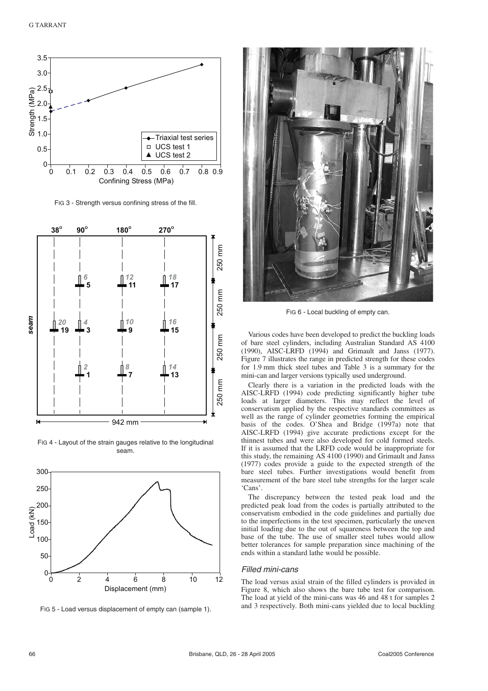

FIG 3 - Strength versus confining stress of the fill.



FIG 4 - Layout of the strain gauges relative to the longitudinal seam.



FIG 5 - Load versus displacement of empty can (sample 1).



FIG 6 - Local buckling of empty can.

Various codes have been developed to predict the buckling loads of bare steel cylinders, including Australian Standard AS 4100 (1990), AISC-LRFD (1994) and Grimault and Janss (1977). Figure 7 illustrates the range in predicted strength for these codes for 1.9 mm thick steel tubes and Table 3 is a summary for the mini-can and larger versions typically used underground.

Clearly there is a variation in the predicted loads with the AISC-LRFD (1994) code predicting significantly higher tube loads at larger diameters. This may reflect the level of conservatism applied by the respective standards committees as well as the range of cylinder geometries forming the empirical basis of the codes. O'Shea and Bridge (1997a) note that AISC-LRFD (1994) give accurate predictions except for the thinnest tubes and were also developed for cold formed steels. If it is assumed that the LRFD code would be inappropriate for this study, the remaining AS 4100 (1990) and Grimault and Janss (1977) codes provide a guide to the expected strength of the bare steel tubes. Further investigations would benefit from measurement of the bare steel tube strengths for the larger scale 'Cans'.

The discrepancy between the tested peak load and the predicted peak load from the codes is partially attributed to the conservatism embodied in the code guidelines and partially due to the imperfections in the test specimen, particularly the uneven initial loading due to the out of squareness between the top and base of the tube. The use of smaller steel tubes would allow better tolerances for sample preparation since machining of the ends within a standard lathe would be possible.

## Filled mini-cans

The load versus axial strain of the filled cylinders is provided in Figure 8, which also shows the bare tube test for comparison. The load at yield of the mini-cans was 46 and 48 t for samples 2 and 3 respectively. Both mini-cans yielded due to local buckling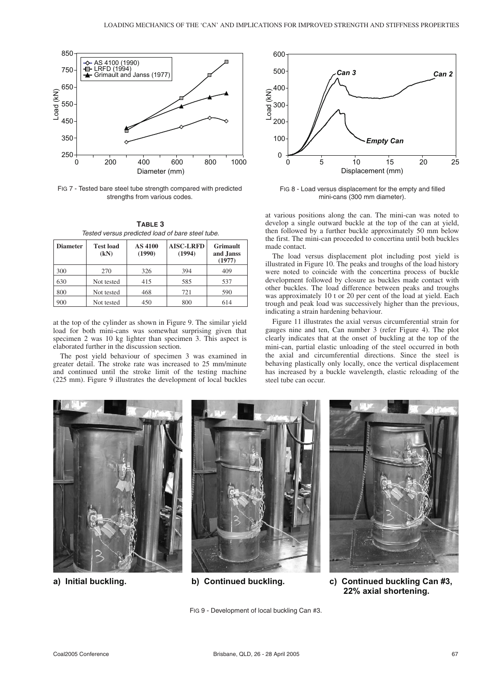

FIG 7 - Tested bare steel tube strength compared with predicted strengths from various codes.

| TABLE 3                                          |  |
|--------------------------------------------------|--|
| Tested versus predicted load of bare steel tube. |  |

| <b>Diameter</b> | <b>Test load</b><br>(kN) | <b>AS 4100</b><br>(1990) | <b>AISC-LRFD</b><br>(1994) | Grimault<br>and Janss<br>(1977) |
|-----------------|--------------------------|--------------------------|----------------------------|---------------------------------|
| 300             | 270                      | 326                      | 394                        | 409                             |
| 630             | Not tested               | 415                      | 585                        | 537                             |
| 800             | Not tested               | 468                      | 721                        | 590                             |
| 900             | Not tested               | 450                      | 800                        | 614                             |

at the top of the cylinder as shown in Figure 9. The similar yield load for both mini-cans was somewhat surprising given that specimen 2 was 10 kg lighter than specimen 3. This aspect is elaborated further in the discussion section.

The post yield behaviour of specimen 3 was examined in greater detail. The stroke rate was increased to 25 mm/minute and continued until the stroke limit of the testing machine (225 mm). Figure 9 illustrates the development of local buckles



FIG 8 - Load versus displacement for the empty and filled mini-cans (300 mm diameter).

at various positions along the can. The mini-can was noted to develop a single outward buckle at the top of the can at yield, then followed by a further buckle approximately 50 mm below the first. The mini-can proceeded to concertina until both buckles made contact.

The load versus displacement plot including post yield is illustrated in Figure 10. The peaks and troughs of the load history were noted to coincide with the concertina process of buckle development followed by closure as buckles made contact with other buckles. The load difference between peaks and troughs was approximately 10 t or 20 per cent of the load at yield. Each trough and peak load was successively higher than the previous, indicating a strain hardening behaviour.

Figure 11 illustrates the axial versus circumferential strain for gauges nine and ten, Can number 3 (refer Figure 4). The plot clearly indicates that at the onset of buckling at the top of the mini-can, partial elastic unloading of the steel occurred in both the axial and circumferential directions. Since the steel is behaving plastically only locally, once the vertical displacement has increased by a buckle wavelength, elastic reloading of the steel tube can occur.



**a) Initial buckling. b) Continued buckling. c) Continued buckling Can #3, 22% axial shortening.**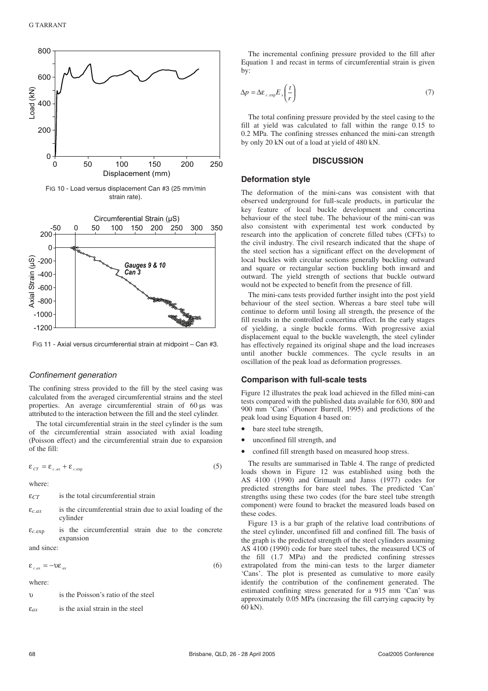

FIG 11 - Axial versus circumferential strain at midpoint – Can #3.

#### Confinement generation

The confining stress provided to the fill by the steel casing was calculated from the averaged circumferential strains and the steel properties. An average circumferential strain of 60 µs was attributed to the interaction between the fill and the steel cylinder.

The total circumferential strain in the steel cylinder is the sum of the circumferential strain associated with axial loading (Poisson effect) and the circumferential strain due to expansion of the fill:

$$
\varepsilon_{cr} = \varepsilon_{c,ax} + \varepsilon_{c,exp} \tag{5}
$$

where:

-1200

- ε*CT* is the total circumferential strain
- $\varepsilon_{c,ax}$  is the circumferential strain due to axial loading of the cylinder
- ε*c.*exp is the circumferential strain due to the concrete expansion

and since:

$$
\varepsilon_{c,ax} = -\upsilon \varepsilon_{ax} \tag{6}
$$

where:

υ is the Poisson's ratio of the steel

ε*ax* is the axial strain in the steel

The incremental confining pressure provided to the fill after Equation 1 and recast in terms of circumferential strain is given by:

$$
\Delta p = \Delta \varepsilon_{c.\exp} E_s \left( \frac{t}{r} \right) \tag{7}
$$

The total confining pressure provided by the steel casing to the fill at yield was calculated to fall within the range 0.15 to 0.2 MPa. The confining stresses enhanced the mini-can strength by only 20 kN out of a load at yield of 480 kN.

### **DISCUSSION**

### **Deformation style**

The deformation of the mini-cans was consistent with that observed underground for full-scale products, in particular the key feature of local buckle development and concertina behaviour of the steel tube. The behaviour of the mini-can was also consistent with experimental test work conducted by research into the application of concrete filled tubes (CFTs) to the civil industry. The civil research indicated that the shape of the steel section has a significant effect on the development of local buckles with circular sections generally buckling outward and square or rectangular section buckling both inward and outward. The yield strength of sections that buckle outward would not be expected to benefit from the presence of fill.

The mini-cans tests provided further insight into the post yield behaviour of the steel section. Whereas a bare steel tube will continue to deform until losing all strength, the presence of the fill results in the controlled concertina effect. In the early stages of yielding, a single buckle forms. With progressive axial displacement equal to the buckle wavelength, the steel cylinder has effectively regained its original shape and the load increases until another buckle commences. The cycle results in an oscillation of the peak load as deformation progresses.

### **Comparison with full-scale tests**

Figure 12 illustrates the peak load achieved in the filled mini-can tests compared with the published data available for 630, 800 and 900 mm 'Cans' (Pioneer Burrell, 1995) and predictions of the peak load using Equation 4 based on:

- bare steel tube strength,
- unconfined fill strength, and
- confined fill strength based on measured hoop stress.

The results are summarised in Table 4. The range of predicted loads shown in Figure 12 was established using both the AS 4100 (1990) and Grimault and Janss (1977) codes for predicted strengths for bare steel tubes. The predicted 'Can' strengths using these two codes (for the bare steel tube strength component) were found to bracket the measured loads based on these codes.

Figure 13 is a bar graph of the relative load contributions of the steel cylinder, unconfined fill and confined fill. The basis of the graph is the predicted strength of the steel cylinders assuming AS 4100 (1990) code for bare steel tubes, the measured UCS of the fill (1.7 MPa) and the predicted confining stresses extrapolated from the mini-can tests to the larger diameter 'Cans'. The plot is presented as cumulative to more easily identify the contribution of the confinement generated. The estimated confining stress generated for a 915 mm 'Can' was approximately 0.05 MPa (increasing the fill carrying capacity by 60 kN).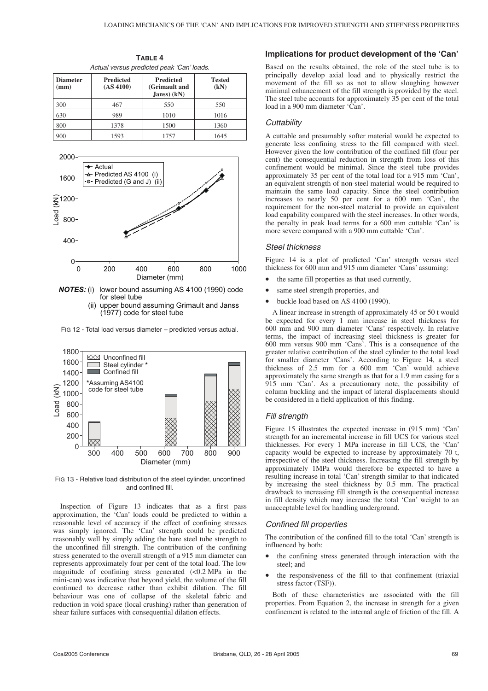| Actual versus predicted peak 'Can' loads. |                               |                                                     |                       |  |  |
|-------------------------------------------|-------------------------------|-----------------------------------------------------|-----------------------|--|--|
| <b>Diameter</b><br>(mm)                   | <b>Predicted</b><br>(AS 4100) | <b>Predicted</b><br>(Grimault and<br>$Janss$ $(kN)$ | <b>Tested</b><br>(kN) |  |  |
| 300                                       | 467                           | 550                                                 | 550                   |  |  |
| 630                                       | 989                           | 1010                                                | 1016                  |  |  |
| 800                                       | 1378                          | 1500                                                | 1360                  |  |  |
|                                           |                               |                                                     |                       |  |  |

900 1593 1757 1645

**TABLE 4**



*NOTES:* (i) lower bound assuming AS 4100 (1990) code for steel tube (ii) upper bound assuming Grimault and Janss (1977) code for steel tube

FIG 12 - Total load versus diameter – predicted versus actual.



FIG 13 - Relative load distribution of the steel cylinder, unconfined and confined fill.

Inspection of Figure 13 indicates that as a first pass approximation, the 'Can' loads could be predicted to within a reasonable level of accuracy if the effect of confining stresses was simply ignored. The 'Can' strength could be predicted reasonably well by simply adding the bare steel tube strength to the unconfined fill strength. The contribution of the confining stress generated to the overall strength of a 915 mm diameter can represents approximately four per cent of the total load. The low magnitude of confining stress generated (<0.2 MPa in the mini-can) was indicative that beyond yield, the volume of the fill continued to decrease rather than exhibit dilation. The fill behaviour was one of collapse of the skeletal fabric and reduction in void space (local crushing) rather than generation of shear failure surfaces with consequential dilation effects.

#### **Implications for product development of the 'Can'**

Based on the results obtained, the role of the steel tube is to principally develop axial load and to physically restrict the movement of the fill so as not to allow sloughing however minimal enhancement of the fill strength is provided by the steel. The steel tube accounts for approximately 35 per cent of the total load in a 900 mm diameter 'Can'.

#### **Cuttability**

A cuttable and presumably softer material would be expected to generate less confining stress to the fill compared with steel. However given the low contribution of the confined fill (four per cent) the consequential reduction in strength from loss of this confinement would be minimal. Since the steel tube provides approximately 35 per cent of the total load for a 915 mm 'Can', an equivalent strength of non-steel material would be required to maintain the same load capacity. Since the steel contribution increases to nearly 50 per cent for a 600 mm 'Can', the requirement for the non-steel material to provide an equivalent load capability compared with the steel increases. In other words, the penalty in peak load terms for a 600 mm cuttable 'Can' is more severe compared with a 900 mm cuttable 'Can'.

## Steel thickness

Figure 14 is a plot of predicted 'Can' strength versus steel thickness for 600 mm and 915 mm diameter 'Cans' assuming:

- the same fill properties as that used currently,
- same steel strength properties, and
- buckle load based on AS 4100 (1990).

A linear increase in strength of approximately 45 or 50 t would be expected for every 1 mm increase in steel thickness for 600 mm and 900 mm diameter 'Cans' respectively. In relative terms, the impact of increasing steel thickness is greater for 600 mm versus 900 mm 'Cans'. This is a consequence of the greater relative contribution of the steel cylinder to the total load for smaller diameter 'Cans'. According to Figure 14, a steel thickness of 2.5 mm for a 600 mm 'Can' would achieve approximately the same strength as that for a 1.9 mm casing for a 915 mm 'Can'. As a precautionary note, the possibility of column buckling and the impact of lateral displacements should be considered in a field application of this finding.

#### Fill strength

Figure 15 illustrates the expected increase in (915 mm) 'Can' strength for an incremental increase in fill UCS for various steel thicknesses. For every 1 MPa increase in fill UCS, the 'Can' capacity would be expected to increase by approximately 70 t, irrespective of the steel thickness. Increasing the fill strength by approximately 1MPa would therefore be expected to have a resulting increase in total 'Can' strength similar to that indicated by increasing the steel thickness by 0.5 mm. The practical drawback to increasing fill strength is the consequential increase in fill density which may increase the total 'Can' weight to an unacceptable level for handling underground.

#### Confined fill properties

The contribution of the confined fill to the total 'Can' strength is influenced by both:

- the confining stress generated through interaction with the steel; and
- the responsiveness of the fill to that confinement (triaxial stress factor (TSF)).

Both of these characteristics are associated with the fill properties. From Equation 2, the increase in strength for a given confinement is related to the internal angle of friction of the fill. A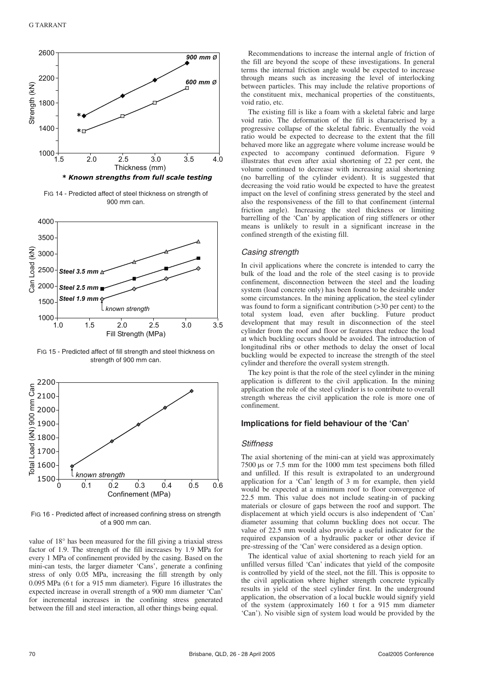

FIG 14 - Predicted affect of steel thickness on strength of 900 mm can.



FIG 15 - Predicted affect of fill strength and steel thickness on strength of 900 mm can.



FIG 16 - Predicted affect of increased confining stress on strength of a 900 mm can.

value of 18° has been measured for the fill giving a triaxial stress factor of 1.9. The strength of the fill increases by 1.9 MPa for every 1 MPa of confinement provided by the casing. Based on the mini-can tests, the larger diameter 'Cans', generate a confining stress of only 0.05 MPa, increasing the fill strength by only 0.095 MPa (6 t for a 915 mm diameter). Figure 16 illustrates the expected increase in overall strength of a 900 mm diameter 'Can' for incremental increases in the confining stress generated between the fill and steel interaction, all other things being equal.

Recommendations to increase the internal angle of friction of the fill are beyond the scope of these investigations. In general terms the internal friction angle would be expected to increase through means such as increasing the level of interlocking between particles. This may include the relative proportions of the constituent mix, mechanical properties of the constituents, void ratio, etc.

The existing fill is like a foam with a skeletal fabric and large void ratio. The deformation of the fill is characterised by a progressive collapse of the skeletal fabric. Eventually the void ratio would be expected to decrease to the extent that the fill behaved more like an aggregate where volume increase would be expected to accompany continued deformation. Figure 9 illustrates that even after axial shortening of 22 per cent, the volume continued to decrease with increasing axial shortening (no barrelling of the cylinder evident). It is suggested that decreasing the void ratio would be expected to have the greatest impact on the level of confining stress generated by the steel and also the responsiveness of the fill to that confinement (internal friction angle). Increasing the steel thickness or limiting barrelling of the 'Can' by application of ring stiffeners or other means is unlikely to result in a significant increase in the confined strength of the existing fill.

#### Casing strength

In civil applications where the concrete is intended to carry the bulk of the load and the role of the steel casing is to provide confinement, disconnection between the steel and the loading system (load concrete only) has been found to be desirable under some circumstances. In the mining application, the steel cylinder was found to form a significant contribution (>30 per cent) to the total system load, even after buckling. Future product development that may result in disconnection of the steel cylinder from the roof and floor or features that reduce the load at which buckling occurs should be avoided. The introduction of longitudinal ribs or other methods to delay the onset of local buckling would be expected to increase the strength of the steel cylinder and therefore the overall system strength.

The key point is that the role of the steel cylinder in the mining application is different to the civil application. In the mining application the role of the steel cylinder is to contribute to overall strength whereas the civil application the role is more one of confinement.

#### **Implications for field behaviour of the 'Can'**

#### **Stiffness**

The axial shortening of the mini-can at yield was approximately 7500 µs or 7.5 mm for the 1000 mm test specimens both filled and unfilled. If this result is extrapolated to an underground application for a 'Can' length of  $3 \text{ m}$  for example, then yield would be expected at a minimum roof to floor convergence of 22.5 mm. This value does not include seating-in of packing materials or closure of gaps between the roof and support. The displacement at which yield occurs is also independent of 'Can' diameter assuming that column buckling does not occur. The value of 22.5 mm would also provide a useful indicator for the required expansion of a hydraulic packer or other device if pre-stressing of the 'Can' were considered as a design option.

The identical value of axial shortening to reach yield for an unfilled versus filled 'Can' indicates that yield of the composite is controlled by yield of the steel, not the fill. This is opposite to the civil application where higher strength concrete typically results in yield of the steel cylinder first. In the underground application, the observation of a local buckle would signify yield of the system (approximately 160 t for a 915 mm diameter 'Can'). No visible sign of system load would be provided by the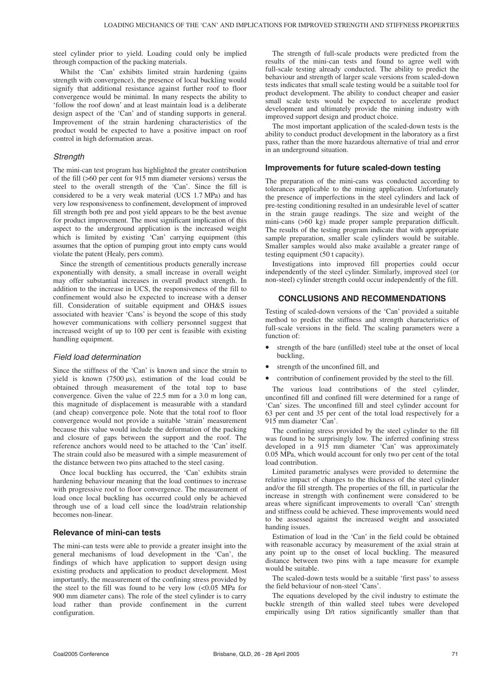steel cylinder prior to yield. Loading could only be implied through compaction of the packing materials.

Whilst the 'Can' exhibits limited strain hardening (gains strength with convergence), the presence of local buckling would signify that additional resistance against further roof to floor convergence would be minimal. In many respects the ability to 'follow the roof down' and at least maintain load is a deliberate design aspect of the 'Can' and of standing supports in general. Improvement of the strain hardening characteristics of the product would be expected to have a positive impact on roof control in high deformation areas.

## **Strength**

The mini-can test program has highlighted the greater contribution of the fill (>60 per cent for 915 mm diameter versions) versus the steel to the overall strength of the 'Can'. Since the fill is considered to be a very weak material (UCS 1.7 MPa) and has very low responsiveness to confinement, development of improved fill strength both pre and post yield appears to be the best avenue for product improvement. The most significant implication of this aspect to the underground application is the increased weight which is limited by existing 'Can' carrying equipment (this assumes that the option of pumping grout into empty cans would violate the patent (Healy, pers comm).

Since the strength of cementitious products generally increase exponentially with density, a small increase in overall weight may offer substantial increases in overall product strength. In addition to the increase in UCS, the responsiveness of the fill to confinement would also be expected to increase with a denser fill. Consideration of suitable equipment and OH&S issues associated with heavier 'Cans' is beyond the scope of this study however communications with colliery personnel suggest that increased weight of up to 100 per cent is feasible with existing handling equipment.

## Field load determination

Since the stiffness of the 'Can' is known and since the strain to yield is known (7500 µs), estimation of the load could be obtained through measurement of the total top to base convergence. Given the value of 22.5 mm for a 3.0 m long can, this magnitude of displacement is measurable with a standard (and cheap) convergence pole. Note that the total roof to floor convergence would not provide a suitable 'strain' measurement because this value would include the deformation of the packing and closure of gaps between the support and the roof. The reference anchors would need to be attached to the 'Can' itself. The strain could also be measured with a simple measurement of the distance between two pins attached to the steel casing.

Once local buckling has occurred, the 'Can' exhibits strain hardening behaviour meaning that the load continues to increase with progressive roof to floor convergence. The measurement of load once local buckling has occurred could only be achieved through use of a load cell since the load/strain relationship becomes non-linear.

## **Relevance of mini-can tests**

The mini-can tests were able to provide a greater insight into the general mechanisms of load development in the 'Can', the findings of which have application to support design using existing products and application to product development. Most importantly, the measurement of the confining stress provided by the steel to the fill was found to be very low  $\langle 0.05 \text{ MPa} \text{ for }$ 900 mm diameter cans). The role of the steel cylinder is to carry load rather than provide confinement in the current configuration.

The strength of full-scale products were predicted from the results of the mini-can tests and found to agree well with full-scale testing already conducted. The ability to predict the behaviour and strength of larger scale versions from scaled-down tests indicates that small scale testing would be a suitable tool for product development. The ability to conduct cheaper and easier small scale tests would be expected to accelerate product development and ultimately provide the mining industry with improved support design and product choice.

The most important application of the scaled-down tests is the ability to conduct product development in the laboratory as a first pass, rather than the more hazardous alternative of trial and error in an underground situation.

#### **Improvements for future scaled-down testing**

The preparation of the mini-cans was conducted according to tolerances applicable to the mining application. Unfortunately the presence of imperfections in the steel cylinders and lack of pre-testing conditioning resulted in an undesirable level of scatter in the strain gauge readings. The size and weight of the mini-cans (>60 kg) made proper sample preparation difficult. The results of the testing program indicate that with appropriate sample preparation, smaller scale cylinders would be suitable. Smaller samples would also make available a greater range of testing equipment (50 t capacity).

Investigations into improved fill properties could occur independently of the steel cylinder. Similarly, improved steel (or non-steel) cylinder strength could occur independently of the fill.

## **CONCLUSIONS AND RECOMMENDATIONS**

Testing of scaled-down versions of the 'Can' provided a suitable method to predict the stiffness and strength characteristics of full-scale versions in the field. The scaling parameters were a function of:

- strength of the bare (unfilled) steel tube at the onset of local buckling,
- strength of the unconfined fill, and
- contribution of confinement provided by the steel to the fill.

The various load contributions of the steel cylinder, unconfined fill and confined fill were determined for a range of 'Can' sizes. The unconfined fill and steel cylinder account for 63 per cent and 35 per cent of the total load respectively for a 915 mm diameter 'Can'.

The confining stress provided by the steel cylinder to the fill was found to be surprisingly low. The inferred confining stress developed in a 915 mm diameter 'Can' was approximately 0.05 MPa, which would account for only two per cent of the total load contribution.

Limited parametric analyses were provided to determine the relative impact of changes to the thickness of the steel cylinder and/or the fill strength. The properties of the fill, in particular the increase in strength with confinement were considered to be areas where significant improvements to overall 'Can' strength and stiffness could be achieved. These improvements would need to be assessed against the increased weight and associated handing issues.

Estimation of load in the 'Can' in the field could be obtained with reasonable accuracy by measurement of the axial strain at any point up to the onset of local buckling. The measured distance between two pins with a tape measure for example would be suitable.

The scaled-down tests would be a suitable 'first pass' to assess the field behaviour of non-steel 'Cans'.

The equations developed by the civil industry to estimate the buckle strength of thin walled steel tubes were developed empirically using D/t ratios significantly smaller than that